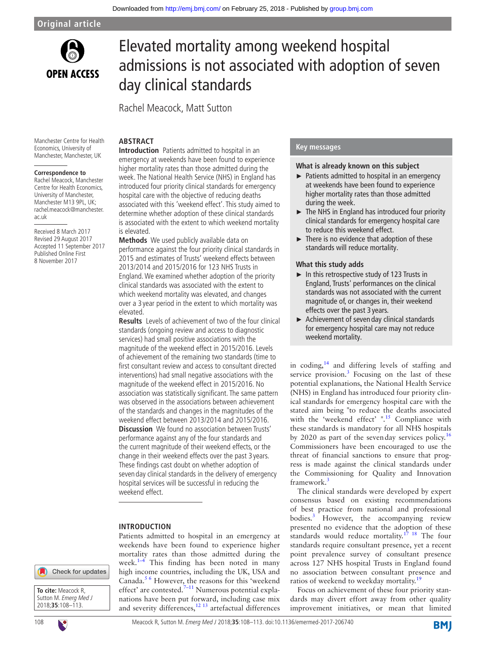

# Elevated mortality among weekend hospital admissions is not associated with adoption of seven day clinical standards

Rachel Meacock, Matt Sutton

**ARSTRACT** 

#### Manchester Centre for Health Economics, University of Manchester, Manchester, UK

#### **Correspondence to**

Rachel Meacock, Manchester Centre for Health Economics, University of Manchester, Manchester M13 9PL, UK; rachel.meacock@manchester. ac.uk

Received 8 March 2017 Revised 29 August 2017 Accepted 11 September 2017 Published Online First 8 November 2017

**Introduction** Patients admitted to hospital in an emergency at weekends have been found to experience higher mortality rates than those admitted during the week. The National Health Service (NHS) in England has introduced four priority clinical standards for emergency hospital care with the objective of reducing deaths associated with this 'weekend effect'. This study aimed to determine whether adoption of these clinical standards is associated with the extent to which weekend mortality is elevated.

**Methods** We used publicly available data on performance against the four priority clinical standards in 2015 and estimates of Trusts' weekend effects between 2013/2014 and 2015/2016 for 123 NHS Trusts in England. We examined whether adoption of the priority clinical standards was associated with the extent to which weekend mortality was elevated, and changes over a 3 year period in the extent to which mortality was elevated.

**Results** Levels of achievement of two of the four clinical standards (ongoing review and access to diagnostic services) had small positive associations with the magnitude of the weekend effect in 2015/2016. Levels of achievement of the remaining two standards (time to first consultant review and access to consultant directed interventions) had small negative associations with the magnitude of the weekend effect in 2015/2016. No association was statistically significant. The same pattern was observed in the associations between achievement of the standards and changes in the magnitudes of the weekend effect between 2013/2014 and 2015/2016. **Discussion** We found no association between Trusts' performance against any of the four standards and the current magnitude of their weekend effects, or the change in their weekend effects over the past 3 years. These findings cast doubt on whether adoption of seven day clinical standards in the delivery of emergency hospital services will be successful in reducing the weekend effect.

## **Introduction**

Patients admitted to hospital in an emergency at weekends have been found to experience higher mortality rates than those admitted during the week. $1-4$  This finding has been noted in many high income countries, including the UK, USA and Canada.<sup>5 6</sup> However, the reasons for this 'weekend effect' are contested. $7-11$  Numerous potential explanations have been put forward, including case mix and severity differences,<sup>12 13</sup> artefactual differences

## **Key messages**

## **What is already known on this subject**

- ► Patients admitted to hospital in an emergency at weekends have been found to experience higher mortality rates than those admitted during the week.
- ► The NHS in England has introduced four priority clinical standards for emergency hospital care to reduce this weekend effect.
- ► There is no evidence that adoption of these standards will reduce mortality.

## **What this study adds**

- ► In this retrospective study of 123 Trusts in England, Trusts' performances on the clinical standards was not associated with the current magnitude of, or changes in, their weekend effects over the past 3 years.
- ► Achievement of seven day clinical standards for emergency hospital care may not reduce weekend mortality.

in coding,<sup>[14](#page-5-4)</sup> and differing levels of staffing and service provision. $3$  Focusing on the last of these potential explanations, the National Health Service (NHS) in England has introduced four priority clinical standards for emergency hospital care with the stated aim being "to reduce the deaths associated with the 'weekend effect'  $\frac{15}{15}$  Compliance with these standards is mandatory for all NHS hospitals by 2020 as part of the sevenday services policy.<sup>[16](#page-5-7)</sup> Commissioners have been encouraged to use the threat of financial sanctions to ensure that progress is made against the clinical standards under the Commissioning for Quality and Innovation framework.<sup>[3](#page-5-5)</sup>

The clinical standards were developed by expert consensus based on existing recommendations of best practice from national and professional bodies.<sup>[3](#page-5-5)</sup> However, the accompanying review presented no evidence that the adoption of these standards would reduce mortality.<sup>[17 18](#page-5-8)</sup> The four standards require consultant presence, yet a recent point prevalence survey of consultant presence across 127 NHS hospital Trusts in England found no association between consultant presence and ratios of weekend to weekday mortality.<sup>19</sup>

Focus on achievement of these four priority standards may divert effort away from other quality improvement initiatives, or mean that limited



**To cite:** Meacock R, Sutton M. Emerg Med J 2018;**35**:108–113.



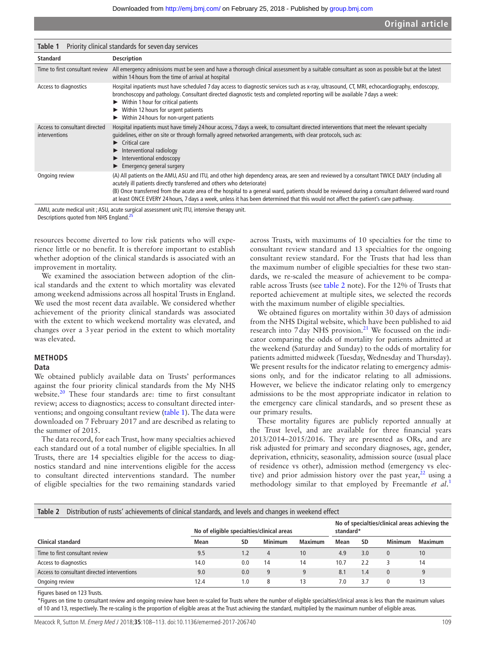<span id="page-1-0"></span>

| Priority clinical standards for seven day services<br>Table 1 |                                                                                                                                                                                                                                                                                                                                                                                                                                                                                                               |  |  |
|---------------------------------------------------------------|---------------------------------------------------------------------------------------------------------------------------------------------------------------------------------------------------------------------------------------------------------------------------------------------------------------------------------------------------------------------------------------------------------------------------------------------------------------------------------------------------------------|--|--|
| <b>Standard</b>                                               | <b>Description</b>                                                                                                                                                                                                                                                                                                                                                                                                                                                                                            |  |  |
|                                                               | Time to first consultant review All emergency admissions must be seen and have a thorough clinical assessment by a suitable consultant as soon as possible but at the latest<br>within 14 hours from the time of arrival at hospital                                                                                                                                                                                                                                                                          |  |  |
| Access to diagnostics                                         | Hospital inpatients must have scheduled 7 day access to diagnostic services such as x-ray, ultrasound, CT, MRI, echocardiography, endoscopy,<br>bronchoscopy and pathology. Consultant directed diagnostic tests and completed reporting will be available 7 days a week:<br>$\blacktriangleright$ Within 1 hour for critical patients<br>Within 12 hours for urgent patients<br>► Within 24 hours for non-urgent patients                                                                                    |  |  |
| Access to consultant directed<br>interventions                | Hospital inpatients must have timely 24 hour access, 7 days a week, to consultant directed interventions that meet the relevant specialty<br>quidelines, either on site or through formally agreed networked arrangements, with clear protocols, such as:<br>$\blacktriangleright$ Critical care<br>$\blacktriangleright$ Interventional radiology<br>Interventional endoscopy<br>$\blacktriangleright$ Emergency general surgery                                                                             |  |  |
| Ongoing review                                                | (A) All patients on the AMU, ASU and ITU, and other high dependency areas, are seen and reviewed by a consultant TWICE DAILY (including all<br>acutely ill patients directly transferred and others who deteriorate)<br>(B) Once transferred from the acute area of the hospital to a general ward, patients should be reviewed during a consultant delivered ward round<br>at least ONCE EVERY 24 hours, 7 days a week, unless it has been determined that this would not affect the patient's care pathway. |  |  |

AMU, acute medical unit ; ASU, acute surgical assessment unit; ITU, intensive therapy unit.

Descriptions quoted from NHS England.<sup>25</sup>

resources become diverted to low risk patients who will experience little or no benefit. It is therefore important to establish whether adoption of the clinical standards is associated with an improvement in mortality.

We examined the association between adoption of the clinical standards and the extent to which mortality was elevated among weekend admissions across all hospital Trusts in England. We used the most recent data available. We considered whether achievement of the priority clinical standards was associated with the extent to which weekend mortality was elevated, and changes over a 3year period in the extent to which mortality was elevated.

## **Methods**

#### **Data**

We obtained publicly available data on Trusts' performances against the four priority clinical standards from the My NHS website.<sup>20</sup> These four standards are: time to first consultant review; access to diagnostics; access to consultant directed interventions; and ongoing consultant review [\(table](#page-1-0) 1). The data were downloaded on 7 February 2017 and are described as relating to the summer of 2015.

The data record, for each Trust, how many specialties achieved each standard out of a total number of eligible specialties. In all Trusts, there are 14 specialties eligible for the access to diagnostics standard and nine interventions eligible for the access to consultant directed interventions standard. The number of eligible specialties for the two remaining standards varied

across Trusts, with maximums of 10 specialties for the time to consultant review standard and 13 specialties for the ongoing consultant review standard. For the Trusts that had less than the maximum number of eligible specialties for these two standards, we re-scaled the measure of achievement to be comparable across Trusts (see [table](#page-1-1) 2 note). For the 12% of Trusts that reported achievement at multiple sites, we selected the records with the maximum number of eligible specialties.

We obtained figures on mortality within 30 days of admission from the NHS Digital website, which have been published to aid research into 7 day NHS provision.<sup>21</sup> We focussed on the indicator comparing the odds of mortality for patients admitted at the weekend (Saturday and Sunday) to the odds of mortality for patients admitted midweek (Tuesday, Wednesday and Thursday). We present results for the indicator relating to emergency admissions only, and for the indicator relating to all admissions. However, we believe the indicator relating only to emergency admissions to be the most appropriate indicator in relation to the emergency care clinical standards, and so present these as our primary results.

These mortality figures are publicly reported annually at the Trust level, and are available for three financial years 2013/2014–2015/2016. They are presented as ORs, and are risk adjusted for primary and secondary diagnoses, age, gender, deprivation, ethnicity, seasonality, admission source (usual place of residence vs other), admission method (emergency vs elective) and prior admission history over the past year, $2^2$  using a methodology similar to that employed by Freemantle *et al*. [1](#page-5-0)

<span id="page-1-1"></span>

| Distribution of rusts' achievements of clinical standards, and levels and changes in weekend effect<br>Table 2 |                                           |     |                |                                                             |      |     |                |                |
|----------------------------------------------------------------------------------------------------------------|-------------------------------------------|-----|----------------|-------------------------------------------------------------|------|-----|----------------|----------------|
|                                                                                                                | No of eligible specialties/clinical areas |     |                | No of specialties/clinical areas achieving the<br>standard* |      |     |                |                |
| Clinical standard                                                                                              | Mean                                      | SD  | <b>Minimum</b> | <b>Maximum</b>                                              | Mean | SD  | <b>Minimum</b> | <b>Maximum</b> |
| Time to first consultant review                                                                                | 9.5                                       | 1.2 | 4              | 10                                                          | 4.9  | 3.0 | $\mathbf{0}$   | 10             |
| Access to diagnostics                                                                                          | 14.0                                      | 0.0 | 14             | 14                                                          | 10.7 | 2.2 |                | 14             |
| Access to consultant directed interventions                                                                    | 9.0                                       | 0.0 | 9              | 9                                                           | 8.1  | 1.4 | $\mathbf{0}$   | 9              |
| Ongoing review                                                                                                 | 12.4                                      | 1.0 | 8              | 13                                                          | 7.0  | 3.7 | $\Omega$       | 13             |

Figures based on 123 Trusts.

\*Figures on time to consultant review and ongoing review have been re-scaled for Trusts where the number of eligible specialties/clinical areas is less than the maximum values of 10 and 13, respectively. The re-scaling is the proportion of eligible areas at the Trust achieving the standard, multiplied by the maximum number of eligible areas.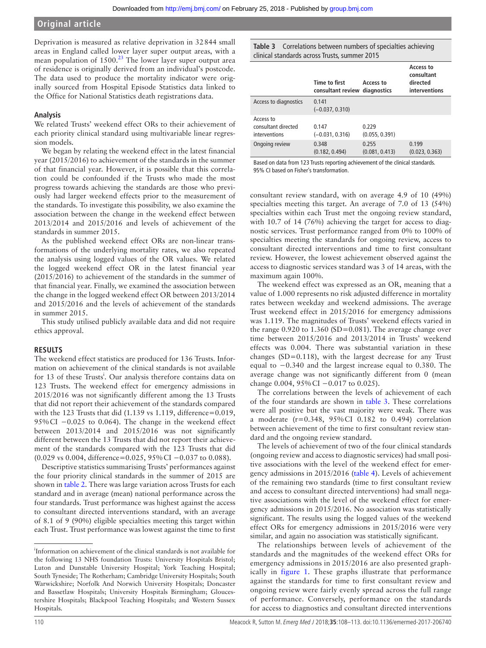Deprivation is measured as relative deprivation in 32844 small areas in England called lower layer super output areas, with a mean population of 1500.<sup>[23](#page-5-14)</sup> The lower layer super output area of residence is originally derived from an individual's postcode. The data used to produce the mortality indicator were originally sourced from Hospital Episode Statistics data linked to the Office for National Statistics death registrations data.

## **Analysis**

We related Trusts' weekend effect ORs to their achievement of each priority clinical standard using multivariable linear regression models.

We began by relating the weekend effect in the latest financial year (2015/2016) to achievement of the standards in the summer of that financial year. However, it is possible that this correlation could be confounded if the Trusts who made the most progress towards achieving the standards are those who previously had larger weekend effects prior to the measurement of the standards. To investigate this possibility, we also examine the association between the change in the weekend effect between 2013/2014 and 2015/2016 and levels of achievement of the standards in summer 2015.

As the published weekend effect ORs are non-linear transformations of the underlying mortality rates, we also repeated the analysis using logged values of the OR values. We related the logged weekend effect OR in the latest financial year (2015/2016) to achievement of the standards in the summer of that financial year. Finally, we examined the association between the change in the logged weekend effect OR between 2013/2014 and 2015/2016 and the levels of achievement of the standards in summer 2015.

This study utilised publicly available data and did not require ethics approval.

## **Results**

The weekend effect statistics are produced for 136 Trusts. Information on achievement of the clinical standards is not available for 13 of these Trusts<sup>i</sup>. Our analysis therefore contains data on 123 Trusts. The weekend effect for emergency admissions in 2015/2016 was not significantly different among the 13 Trusts that did not report their achievement of the standards compared with the 123 Trusts that did (1.139 vs 1.119, difference=0.019, 95% CI −0.025 to 0.064). The change in the weekend effect between 2013/2014 and 2015/2016 was not significantly different between the 13 Trusts that did not report their achievement of the standards compared with the 123 Trusts that did (0.029 vs 0.004, difference=0.025, 95% CI −0.037 to 0.088).

Descriptive statistics summarising Trusts' performances against the four priority clinical standards in the summer of 2015 are shown in [table](#page-1-1) 2. There was large variation across Trusts for each standard and in average (mean) national performance across the four standards. Trust performance was highest against the access to consultant directed interventions standard, with an average of 8.1 of 9 (90%) eligible specialties meeting this target within each Trust. Trust performance was lowest against the time to first <span id="page-2-0"></span>**Table 3** Correlations between numbers of specialties achieving clinical standards across Trusts, summer 2015

|                                                   | Time to first<br>consultant review diagnostics | Access to               | Access to<br>consultant<br>directed<br>interventions |
|---------------------------------------------------|------------------------------------------------|-------------------------|------------------------------------------------------|
| Access to diagnostics                             | 0.141<br>$(-0.037, 0.310)$                     |                         |                                                      |
| Access to<br>consultant directed<br>interventions | 0.147<br>$(-0.031, 0.316)$                     | 0.229<br>(0.055, 0.391) |                                                      |
| Ongoing review                                    | 0.348<br>(0.182, 0.494)                        | 0.255<br>(0.081, 0.413) | 0.199<br>(0.023, 0.363)                              |

Based on data from 123 Trusts reporting achievement of the clinical standards. 95% CI based on Fisher's transformation.

consultant review standard, with on average 4.9 of 10 (49%) specialties meeting this target. An average of 7.0 of 13 (54%) specialties within each Trust met the ongoing review standard, with 10.7 of 14 (76%) achieving the target for access to diagnostic services. Trust performance ranged from 0% to 100% of specialties meeting the standards for ongoing review, access to consultant directed interventions and time to first consultant review. However, the lowest achievement observed against the access to diagnostic services standard was 3 of 14 areas, with the maximum again 100%.

The weekend effect was expressed as an OR, meaning that a value of 1.000 represents no risk adjusted difference in mortality rates between weekday and weekend admissions. The average Trust weekend effect in 2015/2016 for emergency admissions was 1.119. The magnitudes of Trusts' weekend effects varied in the range  $0.920$  to  $1.360$  (SD= $0.081$ ). The average change over time between 2015/2016 and 2013/2014 in Trusts' weekend effects was 0.004. There was substantial variation in these changes (SD=0.118), with the largest decrease for any Trust equal to −0.340 and the largest increase equal to 0.380. The average change was not significantly different from 0 (mean change 0.004, 95% CI −0.017 to 0.025).

The correlations between the levels of achievement of each of the four standards are shown in [table](#page-2-0) 3. These correlations were all positive but the vast majority were weak. There was a moderate (r=0.348, 95%CI 0.182 to 0.494) correlation between achievement of the time to first consultant review standard and the ongoing review standard.

The levels of achievement of two of the four clinical standards (ongoing review and access to diagnostic services) had small positive associations with the level of the weekend effect for emergency admissions in 2015/2016 ([table](#page-3-0) 4). Levels of achievement of the remaining two standards (time to first consultant review and access to consultant directed interventions) had small negative associations with the level of the weekend effect for emergency admissions in 2015/2016. No association was statistically significant. The results using the logged values of the weekend effect ORs for emergency admissions in 2015/2016 were very similar, and again no association was statistically significant.

The relationships between levels of achievement of the standards and the magnitudes of the weekend effect ORs for emergency admissions in 2015/2016 are also presented graphically in [figure](#page-3-1) 1. These graphs illustrate that performance against the standards for time to first consultant review and ongoing review were fairly evenly spread across the full range of performance. Conversely, performance on the standards for access to diagnostics and consultant directed interventions

i Information on achievement of the clinical standards is not available for the following 13 NHS foundation Trusts: University Hospitals Bristol; Luton and Dunstable University Hospital; York Teaching Hospital; South Tyneside; The Rotherham; Cambridge University Hospitals; South Warwickshire; Norfolk And Norwich University Hospitals; Doncaster and Bassetlaw Hospitals; University Hospitals Birmingham; Gloucestershire Hospitals; Blackpool Teaching Hospitals; and Western Sussex Hospitals.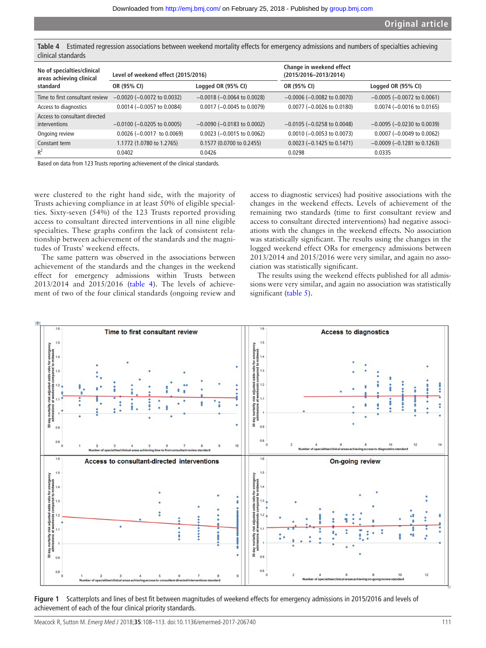<span id="page-3-0"></span>**Table 4** Estimated regression associations between weekend mortality effects for emergency admissions and numbers of specialties achieving clinical standards

| No of specialties/clinical<br>areas achieving clinical | Level of weekend effect (2015/2016) |                                       | Change in weekend effect<br>(2015/2016-2013/2014) |                                       |  |
|--------------------------------------------------------|-------------------------------------|---------------------------------------|---------------------------------------------------|---------------------------------------|--|
| standard                                               | Logged OR (95% CI)<br>OR (95% CI)   |                                       | OR (95% CI)                                       | Logged OR (95% CI)                    |  |
| Time to first consultant review                        | $-0.0020$ ( $-0.0072$ to 0.0032)    | $-0.0018$ ( $-0.0064$ to 0.0028)      | $-0.0006$ ( $-0.0082$ to 0.0070)                  | $-0.0005$ ( $-0.0072$ to 0.0061)      |  |
| Access to diagnostics                                  | $0.0014 (-0.0057$ to $0.0084)$      | $0.0017 (-0.0045 \text{ to } 0.0079)$ | $0.0077$ (-0.0026 to 0.0180)                      | $0.0074$ (-0.0016 to 0.0165)          |  |
| Access to consultant directed<br>interventions         | $-0.0100$ ( $-0.0205$ to 0.0005)    | $-0.0090$ ( $-0.0183$ to 0.0002)      | $-0.0105$ ( $-0.0258$ to 0.0048)                  | $-0.0095$ ( $-0.0230$ to 0.0039)      |  |
| Ongoing review                                         | $0.0026 (-0.0017)$ to $0.0069$ )    | $0.0023$ (-0.0015 to 0.0062)          | $0.0010$ (-0.0053 to 0.0073)                      | $0.0007 (-0.0049 \text{ to } 0.0062)$ |  |
| Constant term                                          | 1.1772 (1.0780 to 1.2765)           | 0.1577 (0.0700 to 0.2455)             | $0.0023$ (-0.1425 to 0.1471)                      | $-0.0009$ ( $-0.1281$ to 0.1263)      |  |
| $R^2$                                                  | 0.0402                              | 0.0426                                | 0.0298                                            | 0.0335                                |  |

Based on data from 123 Trusts reporting achievement of the clinical standards.

were clustered to the right hand side, with the majority of Trusts achieving compliance in at least 50% of eligible specialties. Sixty-seven (54%) of the 123 Trusts reported providing access to consultant directed interventions in all nine eligible specialties. These graphs confirm the lack of consistent relationship between achievement of the standards and the magnitudes of Trusts' weekend effects.

The same pattern was observed in the associations between achievement of the standards and the changes in the weekend effect for emergency admissions within Trusts between 2013/2014 and 2015/2016 [\(table](#page-3-0) 4). The levels of achievement of two of the four clinical standards (ongoing review and access to diagnostic services) had positive associations with the changes in the weekend effects. Levels of achievement of the remaining two standards (time to first consultant review and access to consultant directed interventions) had negative associations with the changes in the weekend effects. No association was statistically significant. The results using the changes in the logged weekend effect ORs for emergency admissions between 2013/2014 and 2015/2016 were very similar, and again no association was statistically significant.

The results using the weekend effects published for all admissions were very similar, and again no association was statistically significant ([table](#page-4-0) 5).



<span id="page-3-1"></span>**Figure 1** Scatterplots and lines of best fit between magnitudes of weekend effects for emergency admissions in 2015/2016 and levels of achievement of each of the four clinical priority standards.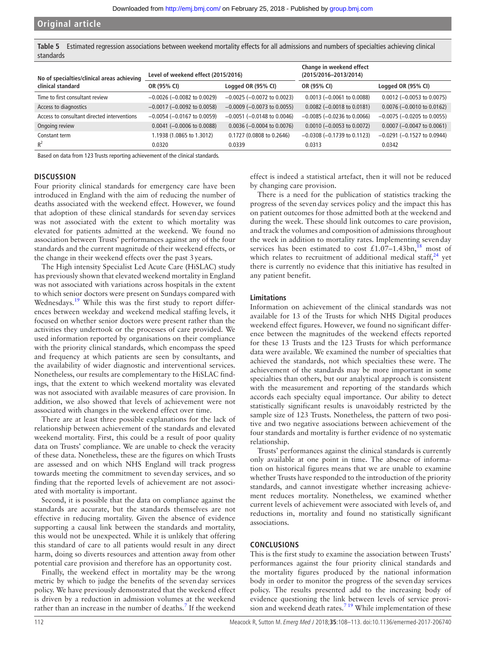<span id="page-4-0"></span>**Table 5** Estimated regression associations between weekend mortality effects for all admissions and numbers of specialties achieving clinical standards

| No of specialties/clinical areas achieving  | Level of weekend effect (2015/2016) |                                       | Change in weekend effect<br>(2015/2016-2013/2014) |                                       |  |
|---------------------------------------------|-------------------------------------|---------------------------------------|---------------------------------------------------|---------------------------------------|--|
| clinical standard                           | OR (95% CI)                         | Logged OR (95% CI)                    | OR (95% CI)                                       | Logged OR (95% CI)                    |  |
| Time to first consultant review             | $-0.0026$ ( $-0.0082$ to 0.0029)    | $-0.0025$ ( $-0.0072$ to 0.0023)      | $0.0013$ (-0.0061 to 0.0088)                      | $0.0012$ (-0.0053 to 0.0075)          |  |
| Access to diagnostics                       | $-0.0017$ ( $-0.0092$ to 0.0058)    | $-0.0009$ ( $-0.0073$ to 0.0055)      | $0.0082$ (-0.0018 to 0.0181)                      | $0.0076 (-0.0010 \text{ to } 0.0162)$ |  |
| Access to consultant directed interventions | $-0.0054$ ( $-0.0167$ to 0.0059)    | $-0.0051$ ( $-0.0148$ to 0.0046)      | $-0.0085$ ( $-0.0236$ to 0.0066)                  | $-0.0075$ ( $-0.0205$ to 0.0055)      |  |
| Ongoing review                              | $0.0041$ (-0.0006 to 0.0088)        | $0.0036 (-0.0004 \text{ to } 0.0076)$ | $0.0010 (-0.0053$ to $0.0072)$                    | $0.0007$ (-0.0047 to 0.0061)          |  |
| Constant term                               | 1.1938 (1.0865 to 1.3012)           | 0.1727 (0.0808 to 0.2646)             | $-0.0308$ ( $-0.1739$ to 0.1123)                  | $-0.0291$ ( $-0.1527$ to 0.0944)      |  |
| $R^2$                                       | 0.0320                              | 0.0339                                | 0.0313                                            | 0.0342                                |  |

Based on data from 123 Trusts reporting achievement of the clinical standards.

#### **Discussion**

Four priority clinical standards for emergency care have been introduced in England with the aim of reducing the number of deaths associated with the weekend effect. However, we found that adoption of these clinical standards for sevenday services was not associated with the extent to which mortality was elevated for patients admitted at the weekend. We found no association between Trusts' performances against any of the four standards and the current magnitude of their weekend effects, or the change in their weekend effects over the past 3years.

The High intensity Specialist Led Acute Care (HiSLAC) study has previously shown that elevated weekend mortality in England was not associated with variations across hospitals in the extent to which senior doctors were present on Sundays compared with Wednesdays.<sup>19</sup> While this was the first study to report differences between weekday and weekend medical staffing levels, it focused on whether senior doctors were present rather than the activities they undertook or the processes of care provided. We used information reported by organisations on their compliance with the priority clinical standards, which encompass the speed and frequency at which patients are seen by consultants, and the availability of wider diagnostic and interventional services. Nonetheless, our results are complementary to the HiSLAC findings, that the extent to which weekend mortality was elevated was not associated with available measures of care provision. In addition, we also showed that levels of achievement were not associated with changes in the weekend effect over time.

There are at least three possible explanations for the lack of relationship between achievement of the standards and elevated weekend mortality. First, this could be a result of poor quality data on Trusts' compliance. We are unable to check the veracity of these data. Nonetheless, these are the figures on which Trusts are assessed and on which NHS England will track progress towards meeting the commitment to sevenday services, and so finding that the reported levels of achievement are not associated with mortality is important.

Second, it is possible that the data on compliance against the standards are accurate, but the standards themselves are not effective in reducing mortality. Given the absence of evidence supporting a causal link between the standards and mortality, this would not be unexpected. While it is unlikely that offering this standard of care to all patients would result in any direct harm, doing so diverts resources and attention away from other potential care provision and therefore has an opportunity cost.

Finally, the weekend effect in mortality may be the wrong metric by which to judge the benefits of the sevenday services policy. We have previously demonstrated that the weekend effect is driven by a reduction in admission volumes at the weekend rather than an increase in the number of deaths.<sup>[7](#page-5-2)</sup> If the weekend

effect is indeed a statistical artefact, then it will not be reduced by changing care provision.

There is a need for the publication of statistics tracking the progress of the sevenday services policy and the impact this has on patient outcomes for those admitted both at the weekend and during the week. These should link outcomes to care provision, and track the volumes and composition of admissions throughout the week in addition to mortality rates. Implementing sevenday services has been estimated to cost £1.07–1.43bn,<sup>[18](#page-5-15)</sup> most of which relates to recruitment of additional medical staff, $24$  yet there is currently no evidence that this initiative has resulted in any patient benefit.

#### **Limitations**

Information on achievement of the clinical standards was not available for 13 of the Trusts for which NHS Digital produces weekend effect figures. However, we found no significant difference between the magnitudes of the weekend effects reported for these 13 Trusts and the 123 Trusts for which performance data were available. We examined the number of specialties that achieved the standards, not which specialties these were. The achievement of the standards may be more important in some specialties than others, but our analytical approach is consistent with the measurement and reporting of the standards which accords each specialty equal importance. Our ability to detect statistically significant results is unavoidably restricted by the sample size of 123 Trusts. Nonetheless, the pattern of two positive and two negative associations between achievement of the four standards and mortality is further evidence of no systematic relationship.

Trusts' performances against the clinical standards is currently only available at one point in time. The absence of information on historical figures means that we are unable to examine whether Trusts have responded to the introduction of the priority standards, and cannot investigate whether increasing achievement reduces mortality. Nonetheless, we examined whether current levels of achievement were associated with levels of, and reductions in, mortality and found no statistically significant associations.

#### **Conclusions**

This is the first study to examine the association between Trusts' performances against the four priority clinical standards and the mortality figures produced by the national information body in order to monitor the progress of the sevenday services policy. The results presented add to the increasing body of evidence questioning the link between levels of service provision and weekend death rates.<sup>7 19</sup> While implementation of these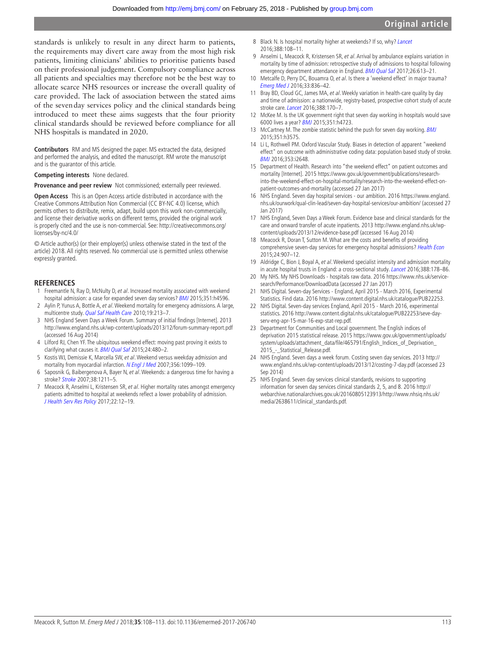standards is unlikely to result in any direct harm to patients, the requirements may divert care away from the most high risk patients, limiting clinicians' abilities to prioritise patients based on their professional judgement. Compulsory compliance across all patients and specialties may therefore not be the best way to allocate scarce NHS resources or increase the overall quality of care provided. The lack of association between the stated aims of the sevenday services policy and the clinical standards being introduced to meet these aims suggests that the four priority clinical standards should be reviewed before compliance for all NHS hospitals is mandated in 2020.

**Contributors** RM and MS designed the paper. MS extracted the data, designed and performed the analysis, and edited the manuscript. RM wrote the manuscript and is the guarantor of this article.

**Competing interests** None declared.

**Provenance and peer review** Not commissioned; externally peer reviewed.

**Open Access** This is an Open Access article distributed in accordance with the Creative Commons Attribution Non Commercial (CC BY-NC 4.0) license, which permits others to distribute, remix, adapt, build upon this work non-commercially, and license their derivative works on different terms, provided the original work is properly cited and the use is non-commercial. See: [http://creativecommons.org/](http://creativecommons.org/licenses/by-nc/4.0/) [licenses/by-nc/4.0/](http://creativecommons.org/licenses/by-nc/4.0/)

© Article author(s) (or their employer(s) unless otherwise stated in the text of the article) 2018. All rights reserved. No commercial use is permitted unless otherwise expressly granted.

#### **References**

- <span id="page-5-0"></span>Freemantle N, Ray D, McNulty D, et al. Increased mortality associated with weekend hospital admission: a case for expanded seven day services? **[BMJ](http://dx.doi.org/10.1136/bmj.h4596)** 2015;351:h4596.
- 2 Aylin P, Yunus A, Bottle A, et al. Weekend mortality for emergency admissions. A large, multicentre study. [Qual Saf Health Care](http://dx.doi.org/10.1136/qshc.2008.028639) 2010;19:213–7.
- <span id="page-5-5"></span>3 NHS England Seven Days a Week Forum. Summary of initial findings [Internet]. 2013 <http://www.england.nhs.uk/wp-content/uploads/2013/12/forum-summary-report.pdf> (accessed 16 Aug 2014)
- 4 Lilford RJ, Chen YF. The ubiquitous weekend effect: moving past proving it exists to clarifying what causes it. **[BMJ Qual Saf](http://dx.doi.org/10.1136/bmjqs-2015-004360) 2015;24:480-2.**
- <span id="page-5-1"></span>5 Kostis WJ, Demissie K, Marcella SW, et al. Weekend versus weekday admission and mortality from myocardial infarction. [N Engl J Med](http://dx.doi.org/10.1056/NEJMoa063355) 2007;356:1099-109.
- 6 Saposnik G, Baibergenova A, Bayer N, et al. Weekends: a dangerous time for having a stroke? [Stroke](http://dx.doi.org/10.1161/01.STR.0000259622.78616.ea) 2007;38:1211–5.
- <span id="page-5-2"></span>7 Meacock R, Anselmi L, Kristensen SR, et al. Higher mortality rates amongst emergency patients admitted to hospital at weekends reflect a lower probability of admission. [J Health Serv Res Policy](http://dx.doi.org/10.1177/1355819616649630) 2017;22:12–19.
- 8 Black N. Is hospital mortality higher at weekends? If so, why? [Lancet](http://dx.doi.org/10.1016/S0140-6736(16)30505-0) 2016;388:108–11.
- 9 Anselmi L, Meacock R, Kristensen SR, et al. Arrival by ambulance explains variation in mortality by time of admission: retrospective study of admissions to hospital following emergency department attendance in England. [BMJ Qual Saf](http://dx.doi.org/10.1136/bmjqs-2016-005680) 2017;26:613-21.
- 10 Metcalfe D, Perry DC, Bouamra O, et al. Is there a 'weekend effect' in major trauma? [Emerg Med J](http://dx.doi.org/10.1136/emermed-2016-206049) 2016;33:836–42.
- 11 Bray BD, Cloud GC, James MA, et al. Weekly variation in health-care quality by day and time of admission: a nationwide, registry-based, prospective cohort study of acute stroke care. *[Lancet](http://dx.doi.org/10.1016/S0140-6736(16)30443-3)* 2016;388:170-7.
- <span id="page-5-3"></span>12 McKee M. Is the UK government right that seven day working in hospitals would save 6000 lives a year? [BMJ](http://dx.doi.org/10.1136/bmj.h4723) 2015;351:h4723.
- 13 McCartney M. The zombie statistic behind the push for seven day working. [BMJ](http://dx.doi.org/10.1136/bmj.h3575) 2015;351:h3575.
- <span id="page-5-4"></span>14 Li L, Rothwell PM. Oxford Vascular Study. Biases in detection of apparent "weekend effect" on outcome with administrative coding data: population based study of stroke. [BMJ](http://dx.doi.org/10.1136/bmj.i2648) 2016;353:i2648.
- <span id="page-5-6"></span>15 Department of Health. Research into "the weekend effect" on patient outcomes and mortality [Internet]. 2015 [https://www.gov.uk/government/publications/research](https://www.gov.uk/government/publications/research-into-the-weekend-effect-on-hospital-mortality/research-into-the-weekend-effect-on-patient-outcomes-and-mortality)[into-the-weekend-effect-on-hospital-mortality/research-into-the-weekend-effect-on](https://www.gov.uk/government/publications/research-into-the-weekend-effect-on-hospital-mortality/research-into-the-weekend-effect-on-patient-outcomes-and-mortality)[patient-outcomes-and-mortality](https://www.gov.uk/government/publications/research-into-the-weekend-effect-on-hospital-mortality/research-into-the-weekend-effect-on-patient-outcomes-and-mortality) (accessed 27 Jan 2017)
- <span id="page-5-7"></span>16 NHS England. Seven day hospital services - our ambition. 2016 [https://www.england.](https://www.england.nhs.uk/ourwork/qual-clin-lead/seven-day-hospital-services/our-ambition/) [nhs.uk/ourwork/qual-clin-lead/seven-day-hospital-services/our-ambition/](https://www.england.nhs.uk/ourwork/qual-clin-lead/seven-day-hospital-services/our-ambition/) (accessed 27 Jan 2017)
- <span id="page-5-8"></span>17 NHS England, Seven Days a Week Forum. Evidence base and clinical standards for the care and onward transfer of acute inpatients. 2013 [http://www.england.nhs.uk/wp](http://www.england.nhs.uk/wp-content/uploads/2013/12/evidence-base.pdf)[content/uploads/2013/12/evidence-base.pdf](http://www.england.nhs.uk/wp-content/uploads/2013/12/evidence-base.pdf) (accessed 16 Aug 2014)
- <span id="page-5-15"></span>18 Meacock R, Doran T, Sutton M. What are the costs and benefits of providing comprehensive seven-day services for emergency hospital admissions? [Health Econ](http://dx.doi.org/10.1002/hec.3207) 2015;24:907–12.
- <span id="page-5-9"></span>19 Aldridge C, Bion J, Boyal A, et al. Weekend specialist intensity and admission mortality in acute hospital trusts in England: a cross-sectional study. [Lancet](http://dx.doi.org/10.1016/S0140-6736(16)30442-1) 2016;388:178–86.
- <span id="page-5-10"></span>20 My NHS. My NHS Downloads - hospitals raw data. 2016 [https://www.nhs.uk/service](https://www.nhs.uk/service-search/Performance/DownloadData)[search/Performance/DownloadData](https://www.nhs.uk/service-search/Performance/DownloadData) (accessed 27 Jan 2017)
- <span id="page-5-11"></span>21 NHS Digital. Seven-day Services - England, April 2015 - March 2016, Experimental Statistics. Find data. 2016 [http://www.content.digital.nhs.uk/catalogue/PUB22253.](http://www.content.digital.nhs.uk/catalogue/PUB22253)
- <span id="page-5-12"></span>22 NHS Digital. Seven-day services England, April 2015 - March 2016, experimental statistics. 2016 [http://www.content.digital.nhs.uk/catalogue/PUB22253/seve-day](http://www.content.digital.nhs.uk/catalogue/PUB22253/seve-day-serv-eng-apr-15-mar-16-exp-stat-rep.pdf)[serv-eng-apr-15-mar-16-exp-stat-rep.pdf.](http://www.content.digital.nhs.uk/catalogue/PUB22253/seve-day-serv-eng-apr-15-mar-16-exp-stat-rep.pdf)
- <span id="page-5-14"></span>23 Department for Communities and Local government. The English indices of deprivation 2015 statistical release. 2015 [https://www.gov.uk/government/uploads/](https://www.gov.uk/government/uploads/system/uploads/attachment_data/file/465791/English_Indices_of_Deprivation_2015_-_Statistical_Release.pdf) [system/uploads/attachment\\_data/file/465791/English\\_Indices\\_of\\_Deprivation\\_](https://www.gov.uk/government/uploads/system/uploads/attachment_data/file/465791/English_Indices_of_Deprivation_2015_-_Statistical_Release.pdf) [2015\\_-\\_Statistical\\_Release.pdf.](https://www.gov.uk/government/uploads/system/uploads/attachment_data/file/465791/English_Indices_of_Deprivation_2015_-_Statistical_Release.pdf)
- <span id="page-5-16"></span>24 NHS England. Seven days a week forum. Costing seven day services. 2013 [http://](http://www.england.nhs.uk/wp-content/uploads/2013/12/costing-7-day.pdf) [www.england.nhs.uk/wp-content/uploads/2013/12/costing-7-day.pdf](http://www.england.nhs.uk/wp-content/uploads/2013/12/costing-7-day.pdf) (accessed 23 Sep 2014)
- <span id="page-5-13"></span>25 NHS England. Seven day services clinical standards, revisions to supporting information for seven day services clinical standards 2, 5, and 8. 2016 [http://](http://webarchive.nationalarchives.gov.uk/20160805123913/http://www.nhsiq.nhs.uk/media/2638611/clinical_standards.pdf) [webarchive.nationalarchives.gov.uk/20160805123913/http://www.nhsiq.nhs.uk/](http://webarchive.nationalarchives.gov.uk/20160805123913/http://www.nhsiq.nhs.uk/media/2638611/clinical_standards.pdf) [media/2638611/clinical\\_standards.pdf.](http://webarchive.nationalarchives.gov.uk/20160805123913/http://www.nhsiq.nhs.uk/media/2638611/clinical_standards.pdf)